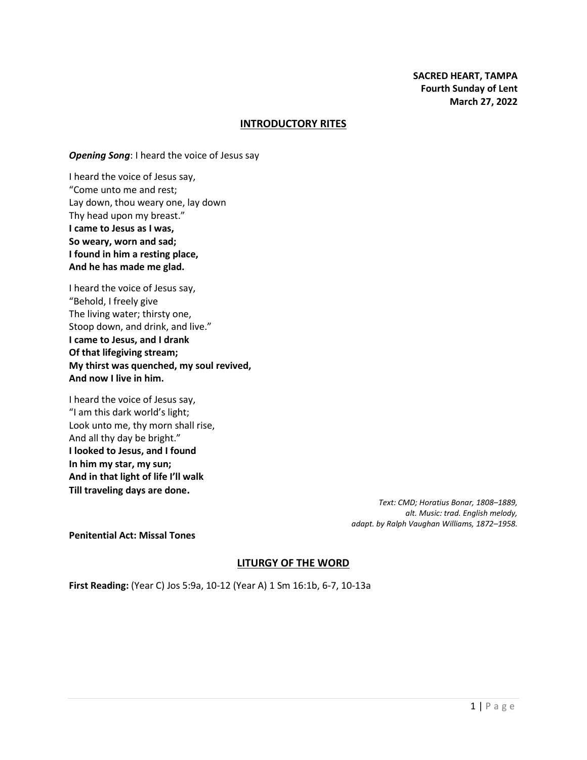#### **INTRODUCTORY RITES**

*Opening Song*: I heard the voice of Jesus say

I heard the voice of Jesus say, "Come unto me and rest; Lay down, thou weary one, lay down Thy head upon my breast." **I came to Jesus as I was, So weary, worn and sad; I found in him a resting place, And he has made me glad.**

I heard the voice of Jesus say, "Behold, I freely give The living water; thirsty one, Stoop down, and drink, and live." **I came to Jesus, and I drank Of that lifegiving stream; My thirst was quenched, my soul revived, And now I live in him.**

I heard the voice of Jesus say, "I am this dark world's light; Look unto me, thy morn shall rise, And all thy day be bright." **I looked to Jesus, and I found In him my star, my sun; And in that light of life I'll walk Till traveling days are done.**

> *Text: CMD; Horatius Bonar, 1808–1889, alt. Music: trad. English melody, adapt. by Ralph Vaughan Williams, 1872–1958.*

**Penitential Act: Missal Tones**

## **LITURGY OF THE WORD**

**First Reading:** (Year C) Jos 5:9a, 10-12 (Year A) 1 Sm 16:1b, 6-7, 10-13a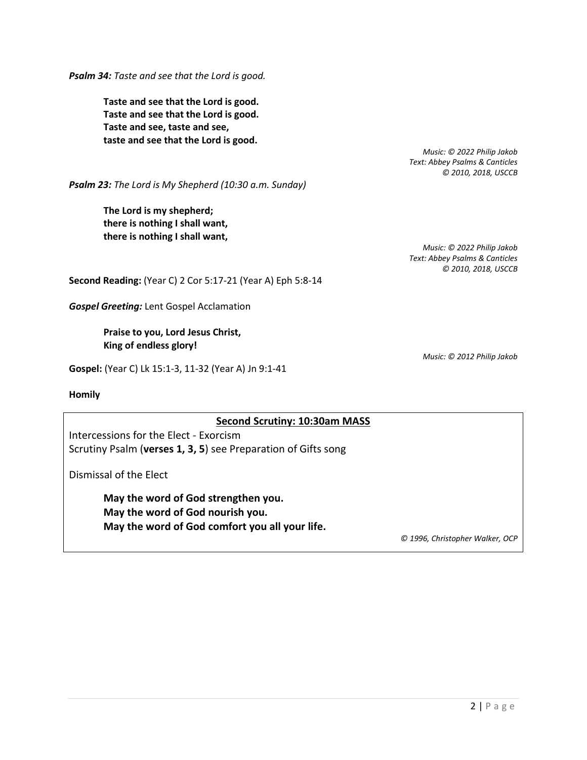*Psalm 34: Taste and see that the Lord is good.*

**Taste and see that the Lord is good. Taste and see that the Lord is good. Taste and see, taste and see, taste and see that the Lord is good.**

> *Music: © 2022 Philip Jakob Text: Abbey Psalms & Canticles © 2010, 2018, USCCB*

*Psalm 23: The Lord is My Shepherd (10:30 a.m. Sunday)*

**The Lord is my shepherd; there is nothing I shall want, there is nothing I shall want,**

> *Music: © 2022 Philip Jakob Text: Abbey Psalms & Canticles © 2010, 2018, USCCB*

**Second Reading:** (Year C) 2 Cor 5:17-21 (Year A) Eph 5:8-14

*Gospel Greeting:* Lent Gospel Acclamation

## **Praise to you, Lord Jesus Christ, King of endless glory!**

**Gospel:** (Year C) Lk 15:1-3, 11-32 (Year A) Jn 9:1-41

**Homily**

## **Second Scrutiny: 10:30am MASS**

Intercessions for the Elect - Exorcism Scrutiny Psalm (**verses 1, 3, 5**) see Preparation of Gifts song

Dismissal of the Elect

**May the word of God strengthen you. May the word of God nourish you. May the word of God comfort you all your life.**

*© 1996, Christopher Walker, OCP*

*Music: © 2012 Philip Jakob*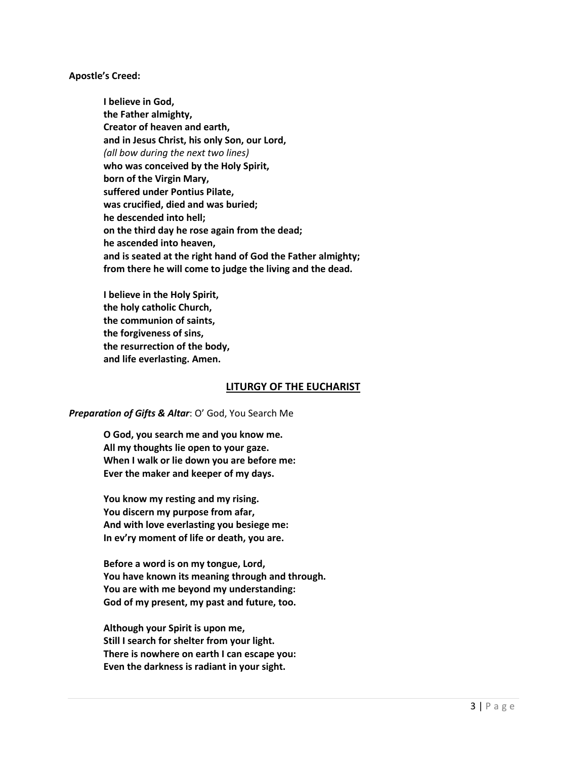#### **Apostle's Creed:**

**I believe in God, the Father almighty, Creator of heaven and earth, and in Jesus Christ, his only Son, our Lord,** *(all bow during the next two lines)* **who was conceived by the Holy Spirit, born of the Virgin Mary, suffered under Pontius Pilate, was crucified, died and was buried; he descended into hell; on the third day he rose again from the dead; he ascended into heaven, and is seated at the right hand of God the Father almighty; from there he will come to judge the living and the dead.**

**I believe in the Holy Spirit, the holy catholic Church, the communion of saints, the forgiveness of sins, the resurrection of the body, and life everlasting. Amen.**

## **LITURGY OF THE EUCHARIST**

#### *Preparation of Gifts & Altar*: O' God, You Search Me

**O God, you search me and you know me. All my thoughts lie open to your gaze. When I walk or lie down you are before me: Ever the maker and keeper of my days.**

**You know my resting and my rising. You discern my purpose from afar, And with love everlasting you besiege me: In ev'ry moment of life or death, you are.**

**Before a word is on my tongue, Lord, You have known its meaning through and through. You are with me beyond my understanding: God of my present, my past and future, too.**

**Although your Spirit is upon me, Still I search for shelter from your light. There is nowhere on earth I can escape you: Even the darkness is radiant in your sight.**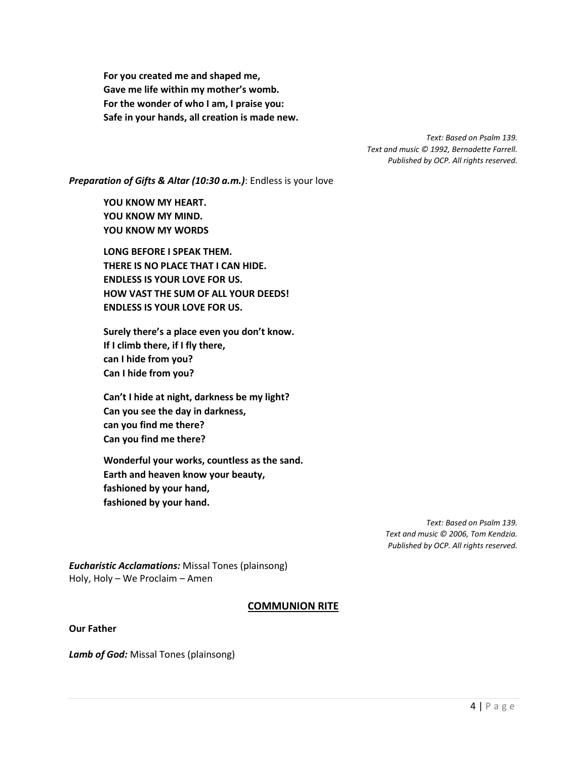**For you created me and shaped me, Gave me life within my mother's womb. For the wonder of who I am, I praise you: Safe in your hands, all creation is made new.**

> *Text: Based on Psalm 139. Text and music © 1992, Bernadette Farrell. Published by OCP. All rights reserved.*

*Preparation of Gifts & Altar (10:30 a.m.)*: Endless is your love

**YOU KNOW MY HEART. YOU KNOW MY MIND. YOU KNOW MY WORDS** 

**LONG BEFORE I SPEAK THEM. THERE IS NO PLACE THAT I CAN HIDE. ENDLESS IS YOUR LOVE FOR US. HOW VAST THE SUM OF ALL YOUR DEEDS! ENDLESS IS YOUR LOVE FOR US.**

**Surely there's a place even you don't know. If I climb there, if I fly there, can I hide from you? Can I hide from you?**

**Can't I hide at night, darkness be my light? Can you see the day in darkness, can you find me there? Can you find me there?**

**Wonderful your works, countless as the sand. Earth and heaven know your beauty, fashioned by your hand, fashioned by your hand.**

> *Text: Based on Psalm 139. Text and music © 2006, Tom Kendzia. Published by OCP. All rights reserved.*

*Eucharistic Acclamations:* Missal Tones (plainsong) Holy, Holy – We Proclaim – Amen

# **COMMUNION RITE**

**Our Father**

*Lamb of God:* Missal Tones (plainsong)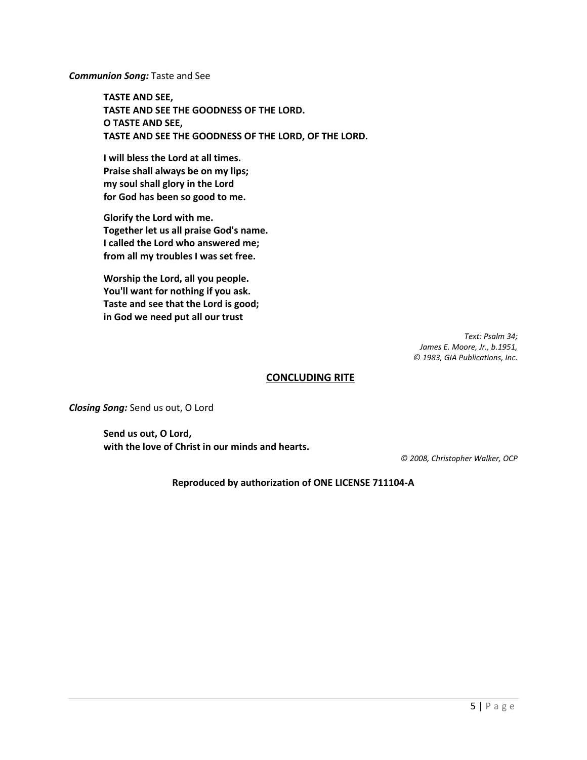*Communion Song:* Taste and See

**TASTE AND SEE, TASTE AND SEE THE GOODNESS OF THE LORD. O TASTE AND SEE, TASTE AND SEE THE GOODNESS OF THE LORD, OF THE LORD.**

**I will bless the Lord at all times. Praise shall always be on my lips; my soul shall glory in the Lord for God has been so good to me.**

**Glorify the Lord with me. Together let us all praise God's name. I called the Lord who answered me; from all my troubles I was set free.**

**Worship the Lord, all you people. You'll want for nothing if you ask. Taste and see that the Lord is good; in God we need put all our trust**

> *Text: Psalm 34; James E. Moore, Jr., b.1951, © 1983, GIA Publications, Inc.*

## **CONCLUDING RITE**

*Closing Song:* Send us out, O Lord

**Send us out, O Lord, with the love of Christ in our minds and hearts.**

*© 2008, Christopher Walker, OCP*

**Reproduced by authorization of ONE LICENSE 711104-A**